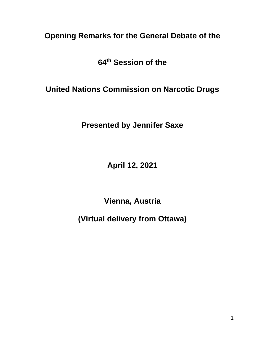**Opening Remarks for the General Debate of the**

**64th Session of the** 

**United Nations Commission on Narcotic Drugs**

**Presented by Jennifer Saxe**

**April 12, 2021**

**Vienna, Austria**

**(Virtual delivery from Ottawa)**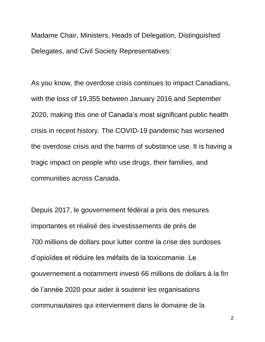Madame Chair, Ministers, Heads of Delegation, Distinguished Delegates, and Civil Society Representatives:

As you know, the overdose crisis continues to impact Canadians, with the loss of 19,355 between January 2016 and September 2020, making this one of Canada's most significant public health crisis in recent history. The COVID-19 pandemic has worsened the overdose crisis and the harms of substance use. It is having a tragic impact on people who use drugs, their families, and communities across Canada.

Depuis 2017, le gouvernement fédéral a pris des mesures importantes et réalisé des investissements de près de 700 millions de dollars pour lutter contre la crise des surdoses d'opioïdes et réduire les méfaits de la toxicomanie. Le gouvernement a notamment investi 66 millions de dollars à la fin de l'année 2020 pour aider à soutenir les organisations communautaires qui interviennent dans le domaine de la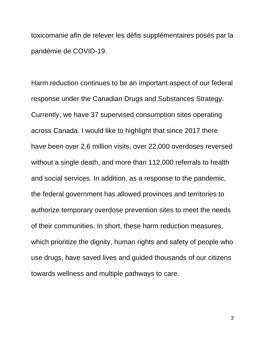toxicomanie afin de relever les défis supplémentaires posés par la pandémie de COVID-19.

Harm reduction continues to be an important aspect of our federal response under the Canadian Drugs and Substances Strategy. Currently, we have 37 supervised consumption sites operating across Canada. I would like to highlight that since 2017 there have been over 2.6 million visits, over 22,000 overdoses reversed without a single death, and more than 112,000 referrals to health and social services. In addition, as a response to the pandemic, the federal government has allowed provinces and territories to authorize temporary overdose prevention sites to meet the needs of their communities. In short, these harm reduction measures, which prioritize the dignity, human rights and safety of people who use drugs, have saved lives and guided thousands of our citizens towards wellness and multiple pathways to care.

3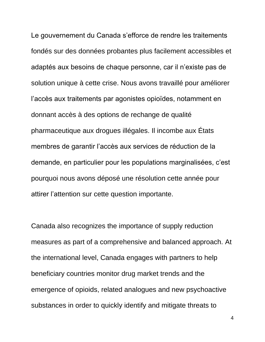Le gouvernement du Canada s'efforce de rendre les traitements fondés sur des données probantes plus facilement accessibles et adaptés aux besoins de chaque personne, car il n'existe pas de solution unique à cette crise. Nous avons travaillé pour améliorer l'accès aux traitements par agonistes opioïdes, notamment en donnant accès à des options de rechange de qualité pharmaceutique aux drogues illégales. Il incombe aux États membres de garantir l'accès aux services de réduction de la demande, en particulier pour les populations marginalisées, c'est pourquoi nous avons déposé une résolution cette année pour attirer l'attention sur cette question importante.

Canada also recognizes the importance of supply reduction measures as part of a comprehensive and balanced approach. At the international level, Canada engages with partners to help beneficiary countries monitor drug market trends and the emergence of opioids, related analogues and new psychoactive substances in order to quickly identify and mitigate threats to

4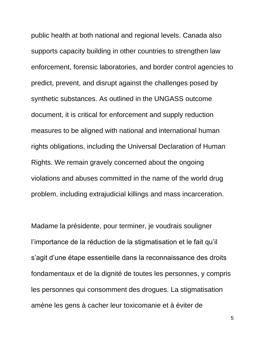public health at both national and regional levels. Canada also supports capacity building in other countries to strengthen law enforcement, forensic laboratories, and border control agencies to predict, prevent, and disrupt against the challenges posed by synthetic substances. As outlined in the UNGASS outcome document, it is critical for enforcement and supply reduction measures to be aligned with national and international human rights obligations, including the Universal Declaration of Human Rights. We remain gravely concerned about the ongoing violations and abuses committed in the name of the world drug problem, including extrajudicial killings and mass incarceration.

Madame la présidente, pour terminer, je voudrais souligner l'importance de la réduction de la stigmatisation et le fait qu'il s'agit d'une étape essentielle dans la reconnaissance des droits fondamentaux et de la dignité de toutes les personnes, y compris les personnes qui consomment des drogues. La stigmatisation amène les gens à cacher leur toxicomanie et à éviter de

5